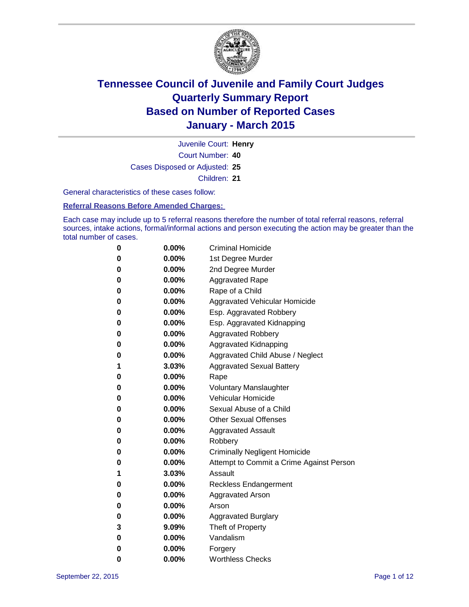

Court Number: **40** Juvenile Court: **Henry** Cases Disposed or Adjusted: **25** Children: **21**

General characteristics of these cases follow:

**Referral Reasons Before Amended Charges:** 

Each case may include up to 5 referral reasons therefore the number of total referral reasons, referral sources, intake actions, formal/informal actions and person executing the action may be greater than the total number of cases.

| 0        | $0.00\%$ | <b>Criminal Homicide</b>                 |
|----------|----------|------------------------------------------|
| 0        | $0.00\%$ | 1st Degree Murder                        |
| 0        | $0.00\%$ | 2nd Degree Murder                        |
| 0        | $0.00\%$ | <b>Aggravated Rape</b>                   |
| 0        | $0.00\%$ | Rape of a Child                          |
| 0        | $0.00\%$ | Aggravated Vehicular Homicide            |
| 0        | 0.00%    | Esp. Aggravated Robbery                  |
| 0        | $0.00\%$ | Esp. Aggravated Kidnapping               |
| 0        | $0.00\%$ | <b>Aggravated Robbery</b>                |
| $\bf{0}$ | $0.00\%$ | Aggravated Kidnapping                    |
| 0        | $0.00\%$ | Aggravated Child Abuse / Neglect         |
| 1        | 3.03%    | <b>Aggravated Sexual Battery</b>         |
| 0        | $0.00\%$ | Rape                                     |
| 0        | $0.00\%$ | <b>Voluntary Manslaughter</b>            |
| 0        | $0.00\%$ | <b>Vehicular Homicide</b>                |
| 0        | $0.00\%$ | Sexual Abuse of a Child                  |
| 0        | $0.00\%$ | <b>Other Sexual Offenses</b>             |
| 0        | $0.00\%$ | <b>Aggravated Assault</b>                |
| 0        | $0.00\%$ | Robbery                                  |
| 0        | $0.00\%$ | <b>Criminally Negligent Homicide</b>     |
| 0        | $0.00\%$ | Attempt to Commit a Crime Against Person |
| 1        | 3.03%    | Assault                                  |
| 0        | $0.00\%$ | <b>Reckless Endangerment</b>             |
| 0        | $0.00\%$ | Aggravated Arson                         |
| 0        | $0.00\%$ | Arson                                    |
| 0        | $0.00\%$ | <b>Aggravated Burglary</b>               |
| 3        | 9.09%    | Theft of Property                        |
| 0        | $0.00\%$ | Vandalism                                |
| 0        | 0.00%    | Forgery                                  |
| 0        | 0.00%    | <b>Worthless Checks</b>                  |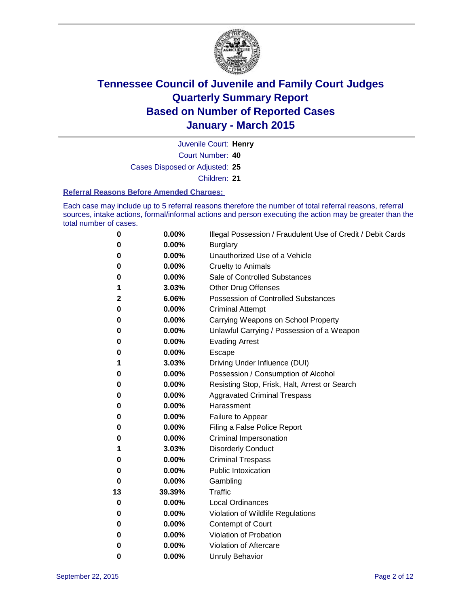

Court Number: **40** Juvenile Court: **Henry** Cases Disposed or Adjusted: **25** Children: **21**

#### **Referral Reasons Before Amended Charges:**

Each case may include up to 5 referral reasons therefore the number of total referral reasons, referral sources, intake actions, formal/informal actions and person executing the action may be greater than the total number of cases.

| 0  | $0.00\%$ | Illegal Possession / Fraudulent Use of Credit / Debit Cards |
|----|----------|-------------------------------------------------------------|
| 0  | 0.00%    | <b>Burglary</b>                                             |
| 0  | 0.00%    | Unauthorized Use of a Vehicle                               |
| 0  | 0.00%    | <b>Cruelty to Animals</b>                                   |
| 0  | 0.00%    | Sale of Controlled Substances                               |
| 1  | 3.03%    | <b>Other Drug Offenses</b>                                  |
| 2  | 6.06%    | Possession of Controlled Substances                         |
| 0  | 0.00%    | <b>Criminal Attempt</b>                                     |
| 0  | 0.00%    | Carrying Weapons on School Property                         |
| 0  | 0.00%    | Unlawful Carrying / Possession of a Weapon                  |
| 0  | 0.00%    | <b>Evading Arrest</b>                                       |
| 0  | 0.00%    | Escape                                                      |
| 1  | 3.03%    | Driving Under Influence (DUI)                               |
| 0  | 0.00%    | Possession / Consumption of Alcohol                         |
| 0  | 0.00%    | Resisting Stop, Frisk, Halt, Arrest or Search               |
| 0  | 0.00%    | <b>Aggravated Criminal Trespass</b>                         |
| 0  | 0.00%    | Harassment                                                  |
| 0  | 0.00%    | Failure to Appear                                           |
| 0  | 0.00%    | Filing a False Police Report                                |
| 0  | 0.00%    | <b>Criminal Impersonation</b>                               |
| 1  | 3.03%    | <b>Disorderly Conduct</b>                                   |
| 0  | 0.00%    | <b>Criminal Trespass</b>                                    |
| 0  | 0.00%    | <b>Public Intoxication</b>                                  |
| 0  | 0.00%    | Gambling                                                    |
| 13 | 39.39%   | <b>Traffic</b>                                              |
| 0  | 0.00%    | <b>Local Ordinances</b>                                     |
| 0  | 0.00%    | Violation of Wildlife Regulations                           |
| 0  | 0.00%    | Contempt of Court                                           |
| 0  | 0.00%    | Violation of Probation                                      |
| 0  | 0.00%    | Violation of Aftercare                                      |
| 0  | 0.00%    | <b>Unruly Behavior</b>                                      |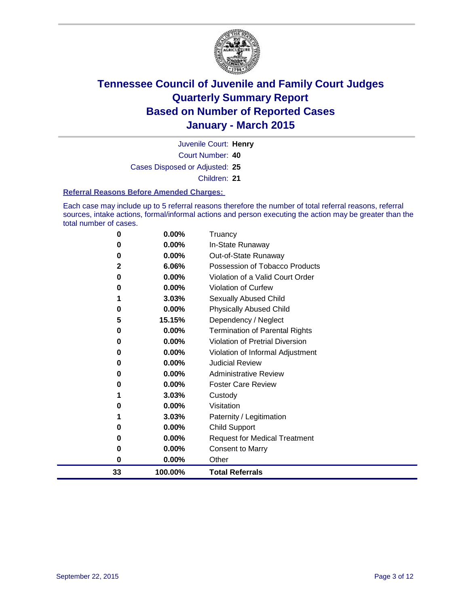

Court Number: **40** Juvenile Court: **Henry** Cases Disposed or Adjusted: **25** Children: **21**

#### **Referral Reasons Before Amended Charges:**

Each case may include up to 5 referral reasons therefore the number of total referral reasons, referral sources, intake actions, formal/informal actions and person executing the action may be greater than the total number of cases.

| 0  | $0.00\%$ | Truancy                               |
|----|----------|---------------------------------------|
| O  | 0.00%    | In-State Runaway                      |
| 0  | 0.00%    | Out-of-State Runaway                  |
| 2  | 6.06%    | Possession of Tobacco Products        |
| 0  | 0.00%    | Violation of a Valid Court Order      |
| 0  | 0.00%    | <b>Violation of Curfew</b>            |
| 1  | 3.03%    | <b>Sexually Abused Child</b>          |
| 0  | 0.00%    | <b>Physically Abused Child</b>        |
| 5  | 15.15%   | Dependency / Neglect                  |
| 0  | 0.00%    | <b>Termination of Parental Rights</b> |
| 0  | 0.00%    | Violation of Pretrial Diversion       |
| 0  | 0.00%    | Violation of Informal Adjustment      |
| 0  | 0.00%    | <b>Judicial Review</b>                |
| O  | 0.00%    | <b>Administrative Review</b>          |
| 0  | 0.00%    | <b>Foster Care Review</b>             |
| 1  | 3.03%    | Custody                               |
| O  | 0.00%    | Visitation                            |
| 1  | 3.03%    | Paternity / Legitimation              |
| 0  | 0.00%    | <b>Child Support</b>                  |
| 0  | 0.00%    | <b>Request for Medical Treatment</b>  |
| 0  | 0.00%    | <b>Consent to Marry</b>               |
| 0  | 0.00%    | Other                                 |
| 33 | 100.00%  | <b>Total Referrals</b>                |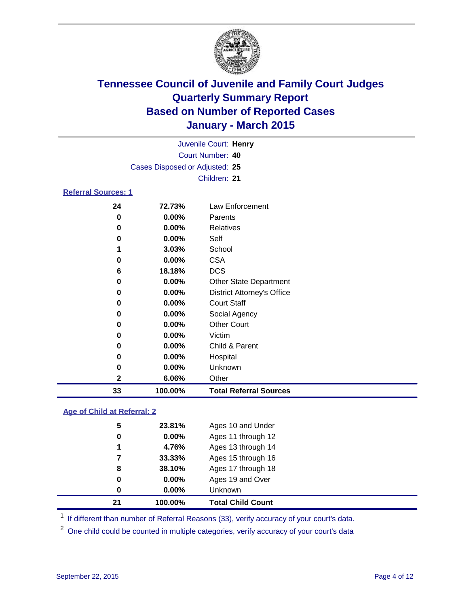

|                            |                                |          | Juvenile Court: Henry |  |  |  |
|----------------------------|--------------------------------|----------|-----------------------|--|--|--|
|                            | Court Number: 40               |          |                       |  |  |  |
|                            | Cases Disposed or Adjusted: 25 |          |                       |  |  |  |
|                            |                                |          | Children: 21          |  |  |  |
| <b>Referral Sources: 1</b> |                                |          |                       |  |  |  |
|                            | 24                             | 72.73%   | Law Enforcement       |  |  |  |
|                            | 0                              | $0.00\%$ | Parents               |  |  |  |
|                            | 0                              | $0.00\%$ | Relatives             |  |  |  |
|                            | 0                              | $0.00\%$ | Self                  |  |  |  |
|                            | 1                              | 3.03%    | School                |  |  |  |
|                            |                                |          |                       |  |  |  |

| 33 | 100.00%  | <b>Total Referral Sources</b>     |
|----|----------|-----------------------------------|
| 2  | 6.06%    | Other                             |
| 0  | 0.00%    | Unknown                           |
| 0  | $0.00\%$ | Hospital                          |
| 0  | 0.00%    | Child & Parent                    |
| 0  | $0.00\%$ | Victim                            |
| 0  | 0.00%    | <b>Other Court</b>                |
| 0  | 0.00%    | Social Agency                     |
| 0  | 0.00%    | <b>Court Staff</b>                |
| 0  | 0.00%    | <b>District Attorney's Office</b> |
| 0  | $0.00\%$ | <b>Other State Department</b>     |
| 6  | 18.18%   | <b>DCS</b>                        |
| 0  | $0.00\%$ | <b>CSA</b>                        |
|    |          |                                   |

#### **Age of Child at Referral: 2**

| 21 | 100.00% | <b>Total Child Count</b> |
|----|---------|--------------------------|
| 0  | 0.00%   | Unknown                  |
| 0  | 0.00%   | Ages 19 and Over         |
| 8  | 38.10%  | Ages 17 through 18       |
| 7  | 33.33%  | Ages 15 through 16       |
| 1  | 4.76%   | Ages 13 through 14       |
| 0  | 0.00%   | Ages 11 through 12       |
| 5  | 23.81%  | Ages 10 and Under        |
|    |         |                          |

<sup>1</sup> If different than number of Referral Reasons (33), verify accuracy of your court's data.

One child could be counted in multiple categories, verify accuracy of your court's data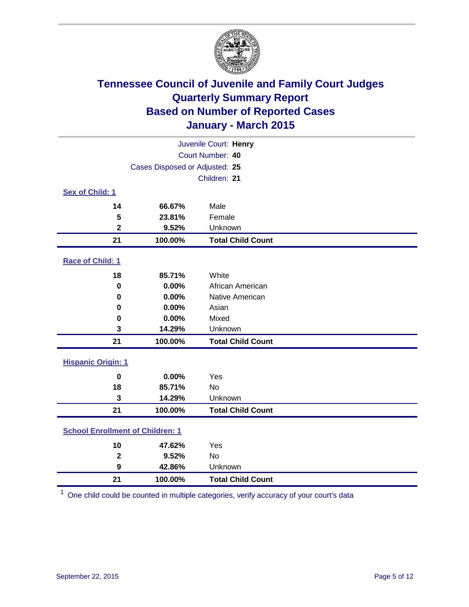

| Juvenile Court: Henry                   |                                |                          |  |  |
|-----------------------------------------|--------------------------------|--------------------------|--|--|
|                                         | Court Number: 40               |                          |  |  |
|                                         | Cases Disposed or Adjusted: 25 |                          |  |  |
|                                         |                                | Children: 21             |  |  |
| <b>Sex of Child: 1</b>                  |                                |                          |  |  |
| 14                                      | 66.67%                         | Male                     |  |  |
| 5                                       | 23.81%                         | Female                   |  |  |
| $\mathbf 2$                             | 9.52%                          | Unknown                  |  |  |
| 21                                      | 100.00%                        | <b>Total Child Count</b> |  |  |
| Race of Child: 1                        |                                |                          |  |  |
| 18                                      | 85.71%                         | White                    |  |  |
| $\bf{0}$                                | 0.00%                          | African American         |  |  |
| 0                                       | 0.00%                          | Native American          |  |  |
| 0                                       | 0.00%                          | Asian                    |  |  |
| 0                                       | 0.00%                          | Mixed                    |  |  |
| 3                                       | 14.29%                         | Unknown                  |  |  |
| 21                                      | 100.00%                        | <b>Total Child Count</b> |  |  |
| <b>Hispanic Origin: 1</b>               |                                |                          |  |  |
| $\bf{0}$                                | 0.00%                          | Yes                      |  |  |
| 18                                      | 85.71%                         | <b>No</b>                |  |  |
| 3                                       | 14.29%                         | Unknown                  |  |  |
| 21                                      | 100.00%                        | <b>Total Child Count</b> |  |  |
| <b>School Enrollment of Children: 1</b> |                                |                          |  |  |
| 10                                      | 47.62%                         | Yes                      |  |  |
| $\mathbf{2}$                            | 9.52%                          | <b>No</b>                |  |  |
| 9                                       | 42.86%                         | Unknown                  |  |  |
| 21                                      | 100.00%                        | <b>Total Child Count</b> |  |  |

One child could be counted in multiple categories, verify accuracy of your court's data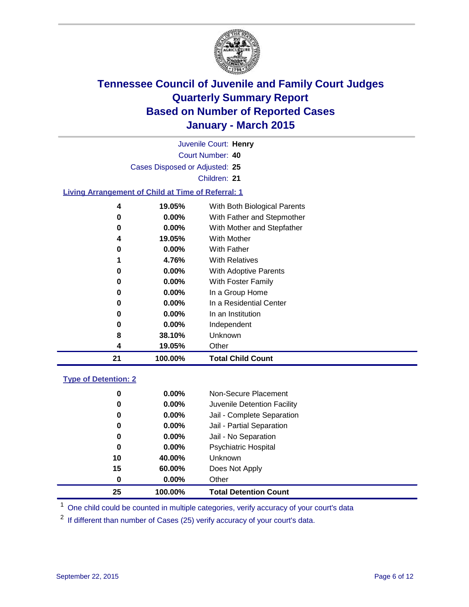

| Juvenile Court: Henry                                     |                                |                              |  |  |
|-----------------------------------------------------------|--------------------------------|------------------------------|--|--|
| Court Number: 40                                          |                                |                              |  |  |
|                                                           | Cases Disposed or Adjusted: 25 |                              |  |  |
|                                                           |                                | Children: 21                 |  |  |
| <b>Living Arrangement of Child at Time of Referral: 1</b> |                                |                              |  |  |
| $\overline{\mathbf{4}}$                                   | 19.05%                         | With Both Biological Parents |  |  |
| 0                                                         | $0.00\%$                       | With Father and Stepmother   |  |  |
| 0                                                         | $0.00\%$                       | With Mother and Stepfather   |  |  |
| 4                                                         | 19.05%                         | <b>With Mother</b>           |  |  |
| 0                                                         | $0.00\%$                       | With Father                  |  |  |
|                                                           | 4.76%                          | <b>With Relatives</b>        |  |  |
| 0                                                         | 0.00%                          | With Adoptive Parents        |  |  |
| 0                                                         | 0.00%                          | With Foster Family           |  |  |
| 0                                                         | $0.00\%$                       | In a Group Home              |  |  |
| 0                                                         | $0.00\%$                       | In a Residential Center      |  |  |
| 0                                                         | $0.00\%$                       | In an Institution            |  |  |
| 0                                                         | $0.00\%$                       | Independent                  |  |  |
| 8                                                         | 38.10%                         | Unknown                      |  |  |
| 4                                                         | 19.05%                         | Other                        |  |  |
| 21                                                        | 100.00%                        | <b>Total Child Count</b>     |  |  |
| <b>Type of Detention: 2</b>                               |                                |                              |  |  |
| 0                                                         | $0.00\%$                       | Non-Secure Placement         |  |  |
| n                                                         | በ በበ%                          | Iuvenile Detention Escility  |  |  |

| 25 | 100.00%  | <b>Total Detention Count</b> |
|----|----------|------------------------------|
| 0  | $0.00\%$ | Other                        |
| 15 | 60.00%   | Does Not Apply               |
| 10 | 40.00%   | Unknown                      |
| 0  | $0.00\%$ | <b>Psychiatric Hospital</b>  |
| 0  | $0.00\%$ | Jail - No Separation         |
| 0  | $0.00\%$ | Jail - Partial Separation    |
| 0  | $0.00\%$ | Jail - Complete Separation   |
| 0  | $0.00\%$ | Juvenile Detention Facility  |
| υ  | U.UU70   | Non-Secure Placement         |

<sup>1</sup> One child could be counted in multiple categories, verify accuracy of your court's data

If different than number of Cases (25) verify accuracy of your court's data.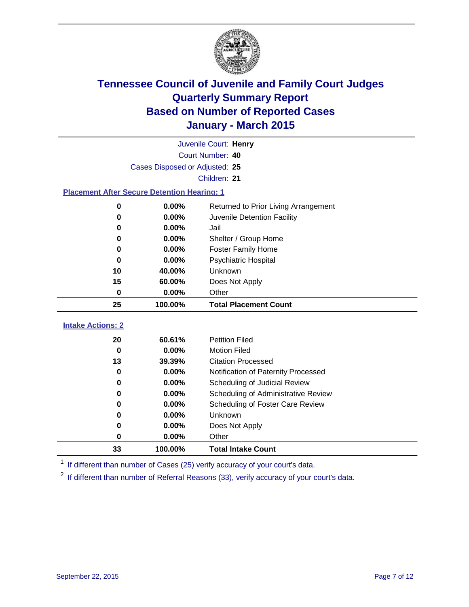

|                                                    | Juvenile Court: Henry          |                                      |  |  |  |
|----------------------------------------------------|--------------------------------|--------------------------------------|--|--|--|
|                                                    | Court Number: 40               |                                      |  |  |  |
|                                                    | Cases Disposed or Adjusted: 25 |                                      |  |  |  |
|                                                    |                                | Children: 21                         |  |  |  |
| <b>Placement After Secure Detention Hearing: 1</b> |                                |                                      |  |  |  |
| 0                                                  | 0.00%                          | Returned to Prior Living Arrangement |  |  |  |
| $\bf{0}$                                           | 0.00%                          | Juvenile Detention Facility          |  |  |  |
| 0                                                  | 0.00%                          | Jail                                 |  |  |  |
| 0                                                  | 0.00%                          | Shelter / Group Home                 |  |  |  |
| $\bf{0}$                                           | 0.00%                          | <b>Foster Family Home</b>            |  |  |  |
| $\bf{0}$                                           | 0.00%                          | <b>Psychiatric Hospital</b>          |  |  |  |
| 10                                                 | 40.00%                         | Unknown                              |  |  |  |
| 15                                                 | 60.00%                         | Does Not Apply                       |  |  |  |
| 0                                                  | 0.00%                          | Other                                |  |  |  |
| 25                                                 | 100.00%                        | <b>Total Placement Count</b>         |  |  |  |
| <b>Intake Actions: 2</b>                           |                                |                                      |  |  |  |
|                                                    |                                |                                      |  |  |  |
| 20                                                 | 60.61%                         | <b>Petition Filed</b>                |  |  |  |
| $\bf{0}$                                           | 0.00%                          | <b>Motion Filed</b>                  |  |  |  |
| 13                                                 | 39.39%                         | <b>Citation Processed</b>            |  |  |  |
| 0                                                  | 0.00%                          | Notification of Paternity Processed  |  |  |  |
| 0                                                  | 0.00%                          | Scheduling of Judicial Review        |  |  |  |
| 0                                                  | 0.00%                          | Scheduling of Administrative Review  |  |  |  |
| $\bf{0}$                                           | 0.00%                          | Scheduling of Foster Care Review     |  |  |  |
| 0                                                  | 0.00%                          | Unknown                              |  |  |  |
| 0                                                  | 0.00%                          | Does Not Apply                       |  |  |  |
| 0                                                  | 0.00%                          | Other                                |  |  |  |
| 33                                                 | 100.00%                        | <b>Total Intake Count</b>            |  |  |  |

<sup>1</sup> If different than number of Cases (25) verify accuracy of your court's data.

<sup>2</sup> If different than number of Referral Reasons (33), verify accuracy of your court's data.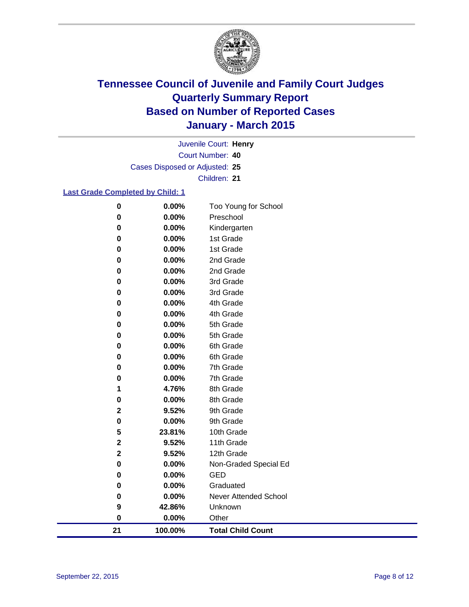

Court Number: **40** Juvenile Court: **Henry** Cases Disposed or Adjusted: **25** Children: **21**

#### **Last Grade Completed by Child: 1**

| 21                   | 100.00%        | <b>Total Child Count</b>     |
|----------------------|----------------|------------------------------|
| $\bf{0}$             | 0.00%          | Other                        |
| 9                    | 42.86%         | Unknown                      |
| $\bf{0}$             | 0.00%          | <b>Never Attended School</b> |
| 0                    | 0.00%          | Graduated                    |
| 0                    | 0.00%          | <b>GED</b>                   |
| 0                    | 0.00%          | Non-Graded Special Ed        |
| $\mathbf 2$          | 9.52%          | 12th Grade                   |
| $\mathbf 2$          | 9.52%          | 11th Grade                   |
| 5                    | 23.81%         | 10th Grade                   |
| 0                    | 0.00%          | 9th Grade                    |
| $\mathbf 2$          | 9.52%          | 9th Grade                    |
| $\bf{0}$             | 0.00%          | 8th Grade                    |
| 1                    | 4.76%          | 8th Grade                    |
| 0                    | 0.00%          | 7th Grade                    |
| 0                    | 0.00%          | 7th Grade                    |
| 0                    | 0.00%          | 6th Grade                    |
| 0                    | 0.00%          | 6th Grade                    |
| 0                    | 0.00%          | 5th Grade                    |
| $\bf{0}$             | 0.00%          | 5th Grade                    |
| 0                    | 0.00%          | 4th Grade                    |
| 0                    | 0.00%          | 4th Grade                    |
| $\bf{0}$             | 0.00%          | 3rd Grade                    |
| 0                    | 0.00%          | 3rd Grade                    |
| 0                    | 0.00%          | 2nd Grade                    |
| 0                    | 0.00%          | 2nd Grade                    |
| 0                    | 0.00%          | 1st Grade                    |
| $\mathbf 0$          | 0.00%          | Kindergarten<br>1st Grade    |
| $\bf{0}$<br>$\bf{0}$ | 0.00%<br>0.00% | Preschool                    |
|                      |                |                              |
| $\pmb{0}$            | 0.00%          | Too Young for School         |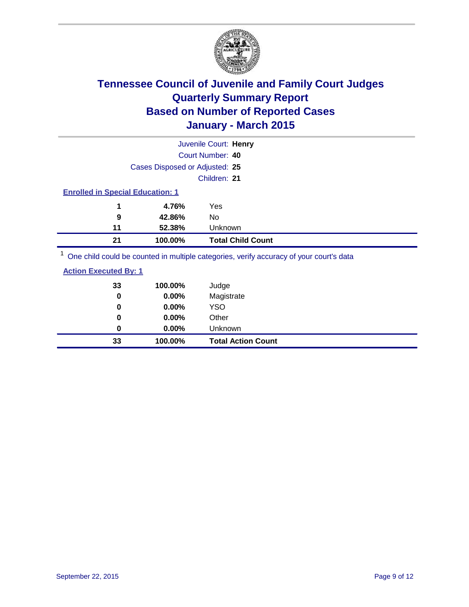

|                                         |                                | Juvenile Court: Henry                                                                                          |
|-----------------------------------------|--------------------------------|----------------------------------------------------------------------------------------------------------------|
|                                         |                                | Court Number: 40                                                                                               |
|                                         | Cases Disposed or Adjusted: 25 |                                                                                                                |
|                                         |                                | Children: 21                                                                                                   |
| <b>Enrolled in Special Education: 1</b> |                                |                                                                                                                |
| 1                                       | 4.76%                          | Yes                                                                                                            |
| 9                                       | 42.86%                         | No                                                                                                             |
| 11                                      | 52.38%                         | Unknown                                                                                                        |
| 21                                      | 100.00%                        | <b>Total Child Count</b>                                                                                       |
|                                         |                                | . On a called a could be a consequent to model a contraction of the consequence of consequents along the $\mu$ |

<sup>1</sup> One child could be counted in multiple categories, verify accuracy of your court's data

#### **Action Executed By: 1**

| 33<br>0 | 100.00%<br>0.00% | Judge<br>Magistrate       |
|---------|------------------|---------------------------|
| 0       | $0.00\%$         | <b>YSO</b>                |
| 0       | 0.00%            | Other                     |
| 0       | $0.00\%$         | Unknown                   |
| 33      | 100.00%          | <b>Total Action Count</b> |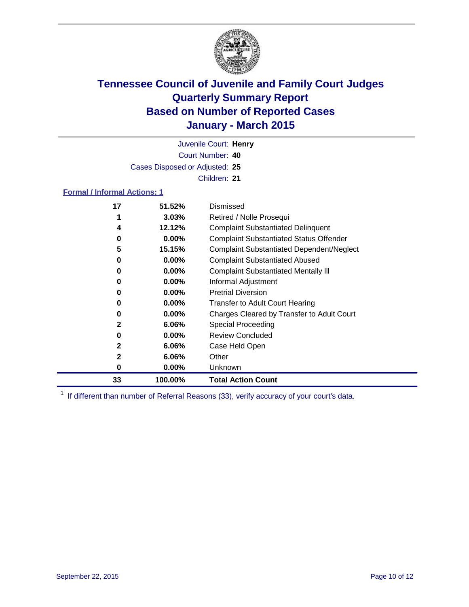

Court Number: **40** Juvenile Court: **Henry** Cases Disposed or Adjusted: **25** Children: **21**

#### **Formal / Informal Actions: 1**

| 17           | 51.52%   | Dismissed                                        |
|--------------|----------|--------------------------------------------------|
|              | $3.03\%$ | Retired / Nolle Prosequi                         |
| 4            | 12.12%   | <b>Complaint Substantiated Delinquent</b>        |
| 0            | $0.00\%$ | <b>Complaint Substantiated Status Offender</b>   |
| 5            | 15.15%   | <b>Complaint Substantiated Dependent/Neglect</b> |
| 0            | $0.00\%$ | <b>Complaint Substantiated Abused</b>            |
| 0            | $0.00\%$ | <b>Complaint Substantiated Mentally III</b>      |
| 0            | $0.00\%$ | Informal Adjustment                              |
| 0            | $0.00\%$ | <b>Pretrial Diversion</b>                        |
| 0            | $0.00\%$ | <b>Transfer to Adult Court Hearing</b>           |
| 0            | $0.00\%$ | Charges Cleared by Transfer to Adult Court       |
| 2            | $6.06\%$ | Special Proceeding                               |
| 0            | $0.00\%$ | <b>Review Concluded</b>                          |
| $\mathbf{2}$ | 6.06%    | Case Held Open                                   |
| 2            | $6.06\%$ | Other                                            |
| 0            | $0.00\%$ | <b>Unknown</b>                                   |
| 33           | 100.00%  | <b>Total Action Count</b>                        |

<sup>1</sup> If different than number of Referral Reasons (33), verify accuracy of your court's data.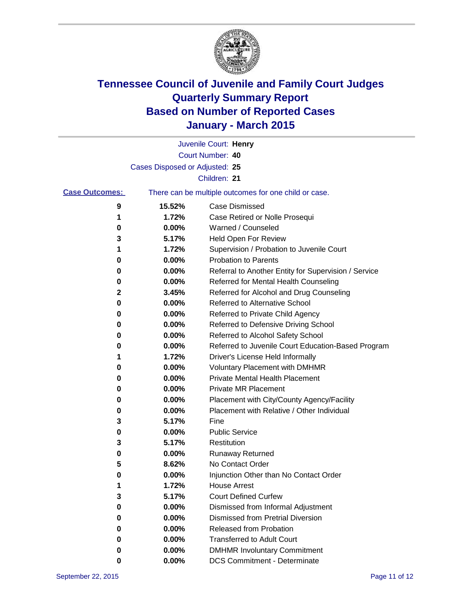

|                       |                                | Juvenile Court: Henry                                 |
|-----------------------|--------------------------------|-------------------------------------------------------|
|                       |                                | Court Number: 40                                      |
|                       | Cases Disposed or Adjusted: 25 |                                                       |
|                       |                                | Children: 21                                          |
| <b>Case Outcomes:</b> |                                | There can be multiple outcomes for one child or case. |
| 9                     | 15.52%                         | Case Dismissed                                        |
| 1                     | 1.72%                          | Case Retired or Nolle Prosequi                        |
| 0                     | 0.00%                          | Warned / Counseled                                    |
| 3                     | 5.17%                          | Held Open For Review                                  |
| 1                     | 1.72%                          | Supervision / Probation to Juvenile Court             |
| 0                     | 0.00%                          | <b>Probation to Parents</b>                           |
| 0                     | 0.00%                          | Referral to Another Entity for Supervision / Service  |
| 0                     | 0.00%                          | Referred for Mental Health Counseling                 |
| 2                     | 3.45%                          | Referred for Alcohol and Drug Counseling              |
| 0                     | 0.00%                          | <b>Referred to Alternative School</b>                 |
| 0                     | 0.00%                          | Referred to Private Child Agency                      |
| 0                     | 0.00%                          | Referred to Defensive Driving School                  |
| 0                     | 0.00%                          | Referred to Alcohol Safety School                     |
| 0                     | 0.00%                          | Referred to Juvenile Court Education-Based Program    |
| 1                     | 1.72%                          | Driver's License Held Informally                      |
| 0                     | 0.00%                          | <b>Voluntary Placement with DMHMR</b>                 |
| 0                     | 0.00%                          | <b>Private Mental Health Placement</b>                |
| 0                     | 0.00%                          | <b>Private MR Placement</b>                           |
| 0                     | 0.00%                          | Placement with City/County Agency/Facility            |
| 0                     | 0.00%                          | Placement with Relative / Other Individual            |
| 3                     | 5.17%                          | Fine                                                  |
| 0                     | 0.00%                          | <b>Public Service</b>                                 |
| 3                     | 5.17%                          | Restitution                                           |
| 0                     | 0.00%                          | <b>Runaway Returned</b>                               |
| 5                     | 8.62%                          | No Contact Order                                      |
| 0                     | 0.00%                          | Injunction Other than No Contact Order                |
| 1                     | 1.72%                          | <b>House Arrest</b>                                   |
| 3                     | 5.17%                          | <b>Court Defined Curfew</b>                           |
| 0                     | 0.00%                          | Dismissed from Informal Adjustment                    |
| 0                     | 0.00%                          | <b>Dismissed from Pretrial Diversion</b>              |
| 0                     | 0.00%                          | Released from Probation                               |
| 0                     | 0.00%                          | <b>Transferred to Adult Court</b>                     |
| 0                     | 0.00%                          | <b>DMHMR Involuntary Commitment</b>                   |
| 0                     | $0.00\%$                       | <b>DCS Commitment - Determinate</b>                   |